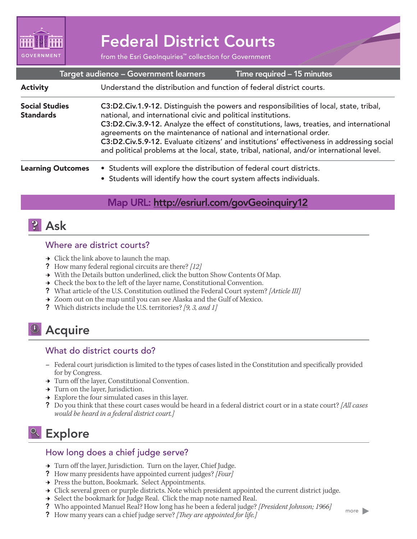

# Federal District Courts

from the Esri GeoInquiries™ collection for Government

|                                           | Target audience - Government learners                                                                                                                                                                                                                                                                                                                                                                                                                                                                               | Time required - 15 minutes |  |
|-------------------------------------------|---------------------------------------------------------------------------------------------------------------------------------------------------------------------------------------------------------------------------------------------------------------------------------------------------------------------------------------------------------------------------------------------------------------------------------------------------------------------------------------------------------------------|----------------------------|--|
| <b>Activity</b>                           | Understand the distribution and function of federal district courts.                                                                                                                                                                                                                                                                                                                                                                                                                                                |                            |  |
| <b>Social Studies</b><br><b>Standards</b> | C3:D2.Civ.1.9-12. Distinguish the powers and responsibilities of local, state, tribal,<br>national, and international civic and political institutions.<br>C3:D2.Civ.3.9-12. Analyze the effect of constitutions, laws, treaties, and international<br>agreements on the maintenance of national and international order.<br>C3:D2.Civ.5.9-12. Evaluate citizens' and institutions' effectiveness in addressing social<br>and political problems at the local, state, tribal, national, and/or international level. |                            |  |
| <b>Learning Outcomes</b>                  | • Students will explore the distribution of federal court districts.<br>• Students will identify how the court system affects individuals.                                                                                                                                                                                                                                                                                                                                                                          |                            |  |

## Map URL: http://esriurl.com/govGeoinquiry12



### Where are district courts?

- $\rightarrow$  Click the link above to launch the map.
- ? How many federal regional circuits are there? *[12]*
- → With the Details button underlined, click the button Show Contents Of Map.
- **→** Check the box to the left of the layer name, Constitutional Convention.
- ? What article of the U.S. Constitution outlined the Federal Court system? *[Article III]*
- → Zoom out on the map until you can see Alaska and the Gulf of Mexico.
- ? Which districts include the U.S. territories? *[9, 3, and 1]*

## <sup>4</sup> Acquire

### What do district courts do?

- **–** Federal court jurisdiction is limited to the types of cases listed in the Constitution and specifically provided for by Congress.
- → Turn off the layer, Constitutional Convention.
- → Turn on the layer, Jurisdiction.
- $\rightarrow$  Explore the four simulated cases in this layer.
- ? Do you think that these court cases would be heard in a federal district court or in a state court? *[All cases would be heard in a federal district court.]*

## **&** Explore

### How long does a chief judge serve?

- → Turn off the layer, Jurisdiction. Turn on the layer, Chief Judge.
- ? How many presidents have appointed current judges? *[Four]*
- → Press the button, Bookmark. Select Appointments.
- → Click several green or purple districts. Note which president appointed the current district judge.
- → Select the bookmark for Judge Real. Click the map note named Real.
- ? Who appointed Manuel Real? How long has he been a federal judge? *[President Johnson; 1966]*
- ? How many years can a chief judge serve? *[They are appointed for life.]*

more  $\blacktriangleright$